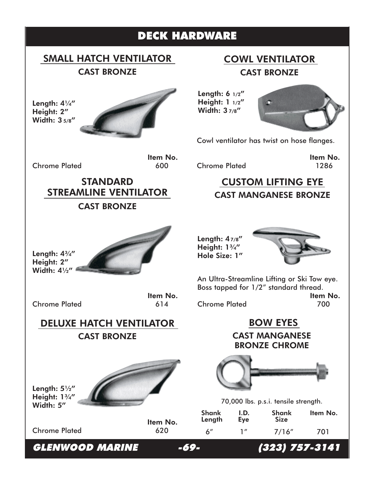